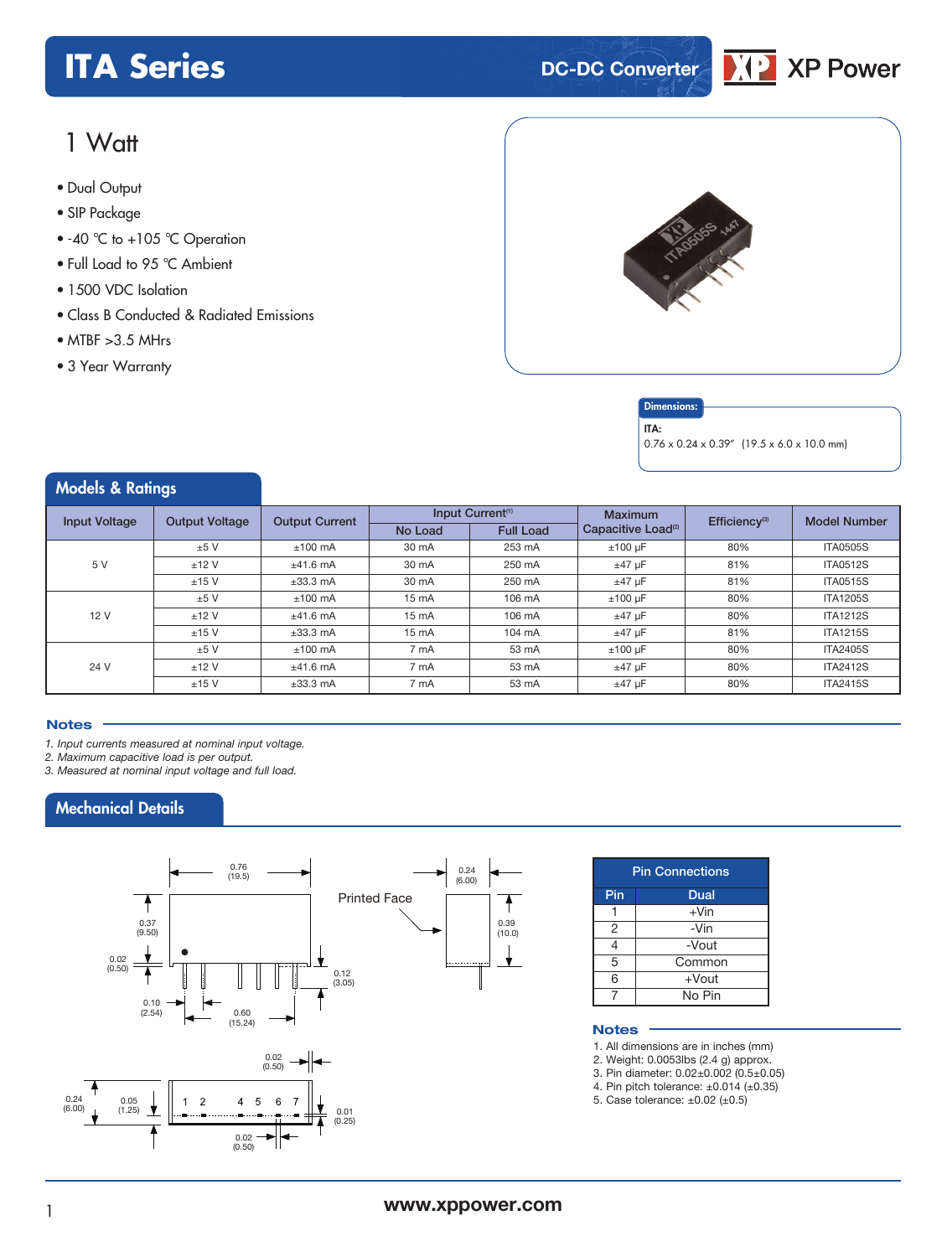# **ITA** Series **DC-DC** Converter



# 1 Watt

- **xxx Series** Dual Output
- SIP Package
- 40 °C to +105 °C Operation
- Full Load to 95 °C Ambient
- 1500 VDC Isolation
- Class B Conducted & Radiated Emissions
- $\bullet$  MTBF  $>3.5$  MHrs
- 3 Year Warranty





ITA:

0.76 x 0.24 x 0.39" (19.5 x 6.0 x 10.0 mm)

| <b>Models &amp; Ratings</b> |                       |                       |                 |                              |                                |                           |                     |
|-----------------------------|-----------------------|-----------------------|-----------------|------------------------------|--------------------------------|---------------------------|---------------------|
| <b>Input Voltage</b>        | <b>Output Voltage</b> | <b>Output Current</b> |                 | Input Current <sup>(1)</sup> | <b>Maximum</b>                 | Efficiency <sup>(3)</sup> | <b>Model Number</b> |
|                             |                       |                       | No Load         | <b>Full Load</b>             | Capacitive Load <sup>(2)</sup> |                           |                     |
|                             | ±5V                   | $±100$ mA             | 30 mA           | 253 mA                       | $±100 \mu F$                   | 80%                       | <b>ITA0505S</b>     |
| 5 V                         | ±12V                  | $±41.6$ mA            | 30 mA           | 250 mA                       | $±47$ µF                       | 81%                       | <b>ITA0512S</b>     |
|                             | ±15V                  | $\pm 33.3$ mA         | 30 mA           | 250 mA                       | $±47$ µF                       | 81%                       | <b>ITA0515S</b>     |
| 12 V                        | ±5V                   | $±100$ mA             | $15 \text{ mA}$ | 106 mA                       | $±100 \mu F$                   | 80%                       | <b>ITA1205S</b>     |
|                             | ±12V                  | $±41.6$ mA            | 15 mA           | 106 mA                       | $±47$ µF                       | 80%                       | <b>ITA1212S</b>     |
|                             | ±15V                  | $\pm 33.3$ mA         | $15 \text{ mA}$ | 104 mA                       | $±47$ µF                       | 81%                       | <b>ITA1215S</b>     |
| 24 V                        | ±5V                   | $±100$ mA             | 7 mA            | 53 mA                        | $±100 \mu F$                   | 80%                       | <b>ITA2405S</b>     |
|                             | ±12V                  | $±41.6$ mA            | 7 mA            | 53 mA                        | $±47$ µF                       | 80%                       | <b>ITA2412S</b>     |
|                             | $±15$ V               | $\pm 33.3$ mA         | 7 mA            | 53 mA                        | $±47$ µF                       | 80%                       | <b>ITA2415S</b>     |

#### **Notes**

*1. Input currents measured at nominal input voltage.*

*2. Maximum capacitive load is per output.*

*3. Measured at nominal input voltage and full load.*

### Mechanical Details





| <b>Pin Connections</b> |          |  |  |  |
|------------------------|----------|--|--|--|
| Pin<br><b>Dual</b>     |          |  |  |  |
|                        | $+V$ in  |  |  |  |
| 2                      | -Vin     |  |  |  |
| 4                      | -Vout    |  |  |  |
| 5                      | Common   |  |  |  |
| 6                      | $+$ Vout |  |  |  |
|                        | No Pin   |  |  |  |

#### **Notes**

1. All dimensions are in inches (mm)

2. Weight: 0.0053lbs (2.4 g) approx.

- 3. Pin diameter: 0.02±0.002 (0.5±0.05)
- 4. Pin pitch tolerance:  $\pm 0.014$  ( $\pm 0.35$ )

5. Case tolerance:  $\pm 0.02$  ( $\pm 0.5$ )

0.39  $(10.0)$ 

⊻

 $\overline{f}$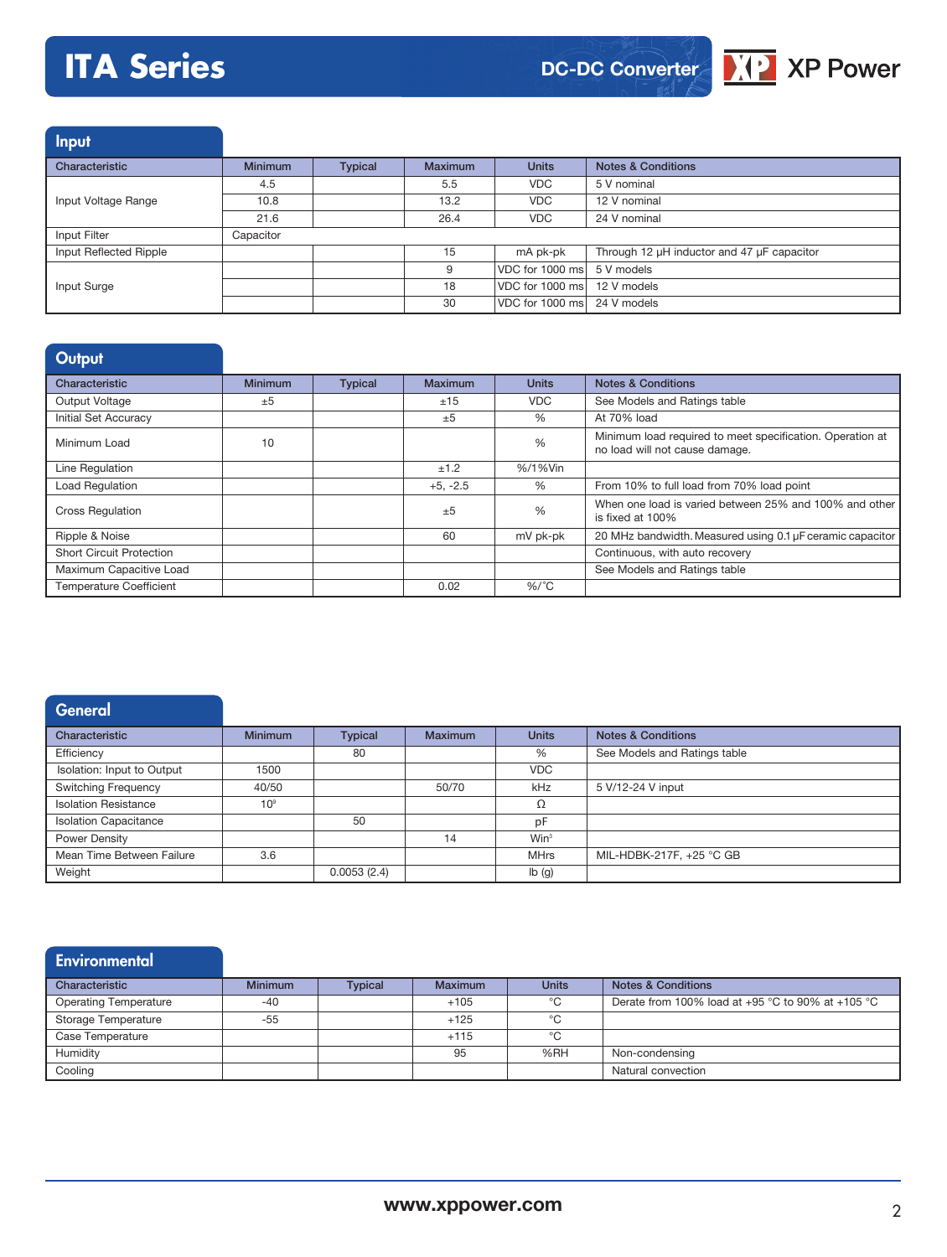# **ITA Series**





Input

| Characteristic         | <b>Minimum</b> | <b>Typical</b> | <b>Maximum</b> | <b>Units</b>                | <b>Notes &amp; Conditions</b>              |
|------------------------|----------------|----------------|----------------|-----------------------------|--------------------------------------------|
|                        | 4.5            |                | 5.5            | <b>VDC</b>                  | 5 V nominal                                |
| Input Voltage Range    | 10.8           |                | 13.2           | <b>VDC</b>                  | 12 V nominal                               |
|                        | 21.6           |                | 26.4           | <b>VDC</b>                  | 24 V nominal                               |
| Input Filter           | Capacitor      |                |                |                             |                                            |
| Input Reflected Ripple |                |                | 15             | mA pk-pk                    | Through 12 µH inductor and 47 µF capacitor |
|                        |                |                | q              | VDC for 1000 ms 5 V models  |                                            |
| Input Surge            |                |                | 18             | VDC for 1000 ms 12 V models |                                            |
|                        |                |                | 30             | VDC for 1000 ms 24 V models |                                            |

# **Output**

| Characteristic                  | <b>Minimum</b> | <b>Typical</b> | Maximum    | <b>Units</b> | <b>Notes &amp; Conditions</b>                                                               |
|---------------------------------|----------------|----------------|------------|--------------|---------------------------------------------------------------------------------------------|
| <b>Output Voltage</b>           | ±5             |                | ±15        | <b>VDC</b>   | See Models and Ratings table                                                                |
| <b>Initial Set Accuracy</b>     |                |                | ±5         | $\%$         | At 70% load                                                                                 |
| Minimum Load                    | 10             |                |            | %            | Minimum load required to meet specification. Operation at<br>no load will not cause damage. |
| Line Regulation                 |                |                | ±1.2       | %/1%Vin      |                                                                                             |
| <b>Load Regulation</b>          |                |                | $+5, -2.5$ | $\%$         | From 10% to full load from 70% load point                                                   |
| <b>Cross Regulation</b>         |                |                | ±5         | %            | When one load is varied between 25% and 100% and other<br>is fixed at 100%                  |
| Ripple & Noise                  |                |                | 60         | mV pk-pk     | 20 MHz bandwidth. Measured using 0.1 µF ceramic capacitor                                   |
| <b>Short Circuit Protection</b> |                |                |            |              | Continuous, with auto recovery                                                              |
| Maximum Capacitive Load         |                |                |            |              | See Models and Ratings table                                                                |
| <b>Temperature Coefficient</b>  |                |                | 0.02       | $\%$ /°C     |                                                                                             |

| <b>General</b>               |                 |                |                |                  |                               |
|------------------------------|-----------------|----------------|----------------|------------------|-------------------------------|
| Characteristic               | <b>Minimum</b>  | <b>Typical</b> | <b>Maximum</b> | <b>Units</b>     | <b>Notes &amp; Conditions</b> |
| Efficiency                   |                 | 80             |                | %                | See Models and Ratings table  |
| Isolation: Input to Output   | 1500            |                |                | <b>VDC</b>       |                               |
| <b>Switching Frequency</b>   | 40/50           |                | 50/70          | kHz              | 5 V/12-24 V input             |
| <b>Isolation Resistance</b>  | 10 <sup>9</sup> |                |                | Ω                |                               |
| <b>Isolation Capacitance</b> |                 | 50             |                | pF               |                               |
| Power Density                |                 |                | 14             | Win <sup>3</sup> |                               |
| Mean Time Between Failure    | 3.6             |                |                | <b>MHrs</b>      | MIL-HDBK-217F, +25 °C GB      |
| Weight                       |                 | 0.0053(2.4)    |                | Ib(g)            |                               |

| <b>Environmental</b>         |                |                |                |              |                                                   |
|------------------------------|----------------|----------------|----------------|--------------|---------------------------------------------------|
| Characteristic               | <b>Minimum</b> | <b>Typical</b> | <b>Maximum</b> | <b>Units</b> | <b>Notes &amp; Conditions</b>                     |
| <b>Operating Temperature</b> | $-40$          |                | $+105$         | °C           | Derate from 100% load at +95 °C to 90% at +105 °C |
| Storage Temperature          | -55            |                | $+125$         | °C           |                                                   |
| Case Temperature             |                |                | $+115$         | °C           |                                                   |
| Humidity                     |                |                | 95             | %RH          | Non-condensing                                    |
| Cooling                      |                |                |                |              | Natural convection                                |